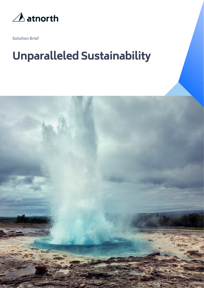

**Solution Brief**

# **Unparalleled Sustainability**

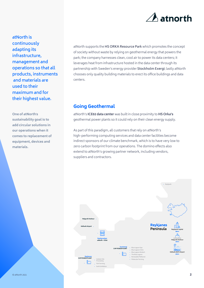

**atNorth is continuously adapting its infrastructure, management and operations so that all products, instruments and materials are used to their maximum and for their highest value.** 

**One of atNorth**'**s sustainability goal is to add circular solutions in our operations when it comes to replacement of equipment, devices and materials.** 

atNorth supports the **HS ORKA Resource Park** which promotes the concept of society without waste by relying on geothermal energy that powers the park; the company harnesses clean, cool air to power its data centers; it leverages heat from infrastructure hosted in the data center through its partnership with Sweden's energy provider **Stockholm Exergi**; lastly atNorth chooses only quality building materials to erect its office buildings and data centers.

#### **[Goin](https://www.stockholmexergi.se/)g Geothermal**

atNorth's **ICE02 data center** was built in close proximity to **HS Orka's**  geothermal power plants so it could rely on their clean energy supply.

As part of [this paradigm, all cust](https://advaniadc.com/about/locations/mjolnir-data-center)omers that rely on atNorth's high-performing computing services and data center facilities [become](https://www.hsorka.is/en/)  indirect sponsors of our climate benchmark, which is to have very low to zero carbon footprint from our operations. The domino effects also extend to atNorth's growing partner network, including vendors, suppliers and contractors.

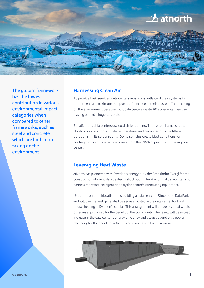

**The glulam framework has the lowest contribution in various environmental impact categories when compared to other frameworks, such as steel and concrete which are both more taxing on the environment.**

#### **Harnessing Clean Air**

To provide their services, data centers must constantly cool their systems in order to ensure maximum compute performance of their clusters. This is taxing on the environment because most data centers waste 90% of energy they use, leaving behind a huge carbon footprint.

But atNorth's data centers use cold air for cooling. The system harnesses the Nordic country's cool climate temperatures and circulates only the filtered outdoor air in its server rooms. Doing so helps create ideal conditions for cooling the systems which can drain more than 50% of power in an average data center.

#### **Leveraging Heat Waste**

harness the waste heat generated by the center's computing equipment. atNorth has partnered with Sweden's energy provider Stockholm Exergi for the construction of a new data center in Stockholm. The aim for that data center is to

Under the partnership, atNorth is building a data center in Stockholm Data Parks and will use the heat generated by servers hosted in the data center for local house-heating in Sweden's capital. This arrangement will utilize heat that would otherwise go unused for the benefit of the community. The result will be a steep increase in the data center's energy efficiency and a leap beyond only power efficiency for the benefit of atNorth's customers and the environment.

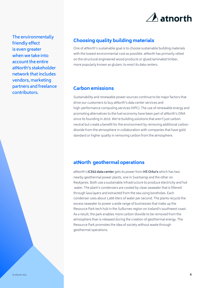

**The environmentally friendly effect is even greater when we take into account the entire atNorth's stakeholder network that includes vendors, marketing partners and freelance contributors.**

## **Choosing quality building materials**

One of atNorth's sustainable goal is to choose sustainable building materials with the lowest environmental cost as possible. atNorth has primarily relied on the structural engineered wood products or glued laminated timber, more popularly known as glulam, to erect its data centers.

#### **Carbon emissions**

Sustainability and renewable power sources continue to be major factors that drive our customers to buy atNorth's data center services and high-performance computing services (HPC). The use of renewable energy and promoting alternatives to the fuel economy have been part of atNorth's DNA since its founding in 2010. We're building solutions that aren't just carbon neutral but create a benefit for the environment by removing additional carbon dioxide from the atmosphere in collaboration with companies that have gold standard or higher quality in removing carbon from the atmosphere.

### **atNorth geothermal operations**

atNorth's **ICE02 data center** gets its power from **HS Orka's** which has two nearby geothermal power plants, one in Svartsengi and the other on Reykjane[s. Both use a sustaina](https://advaniadc.com/about/locations/mjolnir-data-center)ble infrastructure t[o produce](https://www.hsorka.is/) electricity and hot water. The plant's condensers are cooled by clean seawater that is filtered through lava layers and extracted from the sea using boreholes. Each condenser uses about 1,600 liters of water per second. The plants recycle the excess seawater to power a wide range of businesses that make up the Resource Park tech hub in the Suðurnes region on Iceland's southwest coast. As a result, the park enables more carbon dioxide to be removed from the atmosphere than is released during the cre[ation of geotherm](https://www.resourcepark.is/)al energy. The Resource Park promotes the idea of society without waste through geothermal operations.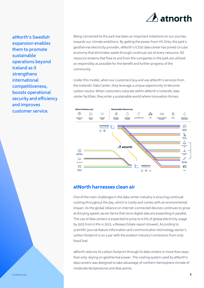

**atNorth's Swedish expansion enables them to promote sustainable operations beyond Iceland as it strengthens international competitiveness, boosts operational security and efficiency and improves customer service.**

Being connected to the park has been an important milestone on our journey towards our climate ambitions. By getting the power from HS Orka, the park's geothermal electricity provider, atNorth's ICE02 data center has joined circular economy that eliminates waste through continual use of every resource. All resource streams that flow to and from the companies in the park are utilized as responsibly as possible for the benefit and further progress of the community.

Under this model, when our customers buy and use atNorth's services from the Icelandic Data Center, they leverage a unique opportunity to become carbon neutra. When costumers colocate within atNorth's Icelandic data center facilities, they enter a sustainable world where innovation thrives.



#### **atNorth harnesses clean air**

One of the main challenges in the data center industry is ensuring continual cooling throughout the day, which is costly and comes with an environmental impact. As the global reliance on internet-connected devices continues to grow at dizzying speed, server farms that store digital data are expanding in parallel. The use of data centers is expected to jump to 4.5% of global electricity usage by 2025 from 0.9% in 2015, a ResearchGate report showed. According to scientific journal Nature information and communication technology sector's carbon footprint is on a par with the aviation industry's emissions from only fossil fuel.

atNorth reduces its carbon footprint through its data centers in more than ways than only relying on geothermal power. The cooling system used by atNorth's data centers was designed to take advantage of northern hemisphere climate of moderate temperatures and dew points.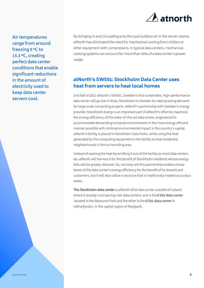

**Air temperatures range from around freezing 0 °C to 13.3 °C, creating perfect data center conditions that enable significant reductions in the amount of electricity used to keep data center servers cool.**

By bringing in and circulating only the cool outdoor air in the server rooms, atNorth has eliminated the need for mechanical cooling from chillers or other equipment with compressors. In typical data centers, mechanical cooling systems can account for more than 50% of a data center's power usage.

# **atNorth's SWE01: Stockholm Data Center uses heat from servers to heat local homes**

2nd half of 2021 atNorth's SWE01, Sweden's first sustainable, high-performance data center will go live in Kista, Stockholm in Sweden to meet growing demand for large scale computing projects. atNorth's partnership with Sweden's energy provider Stockholm Exergi is an important part of atNorth's effort to maximize the energy efficiency of this state-of-the-art data center, engineered to accommodate demanding compute environments in the most energy efficient manner possible with minimal environmental impact in the country's capital. atNorth's facility is placed in Stockholm Data Parks, while using the heat generated by the computing equipment in the facility to heat residential neighborhoods in the surrounding area.

Instead of wasting the heat by emitting it out of the facility as most data centers do, atNorth will harness it for the benefit of Stockholm residents whose energy bills will be greatly reduced. So, not only will this partnership enable a sharp boost of the data center's energy efficiency for the benefit of its tenants and [customers, but it will also uti](https://advaniadc.com/about/locations/stockholm-data-center)lize a resource that is traditionally treated as surplus waste.

**The Stockholm data center** is atN[orth's](https://advaniadc.com/about/locations/thor-data-center) first data center outside of Iceland where it already runs two top-tier data centers: one is the **ICE02 data center** located in the Resource Park and the other is the **ICE01 data center** in Hafnarfjordur, in the capital region of Reykjavik.